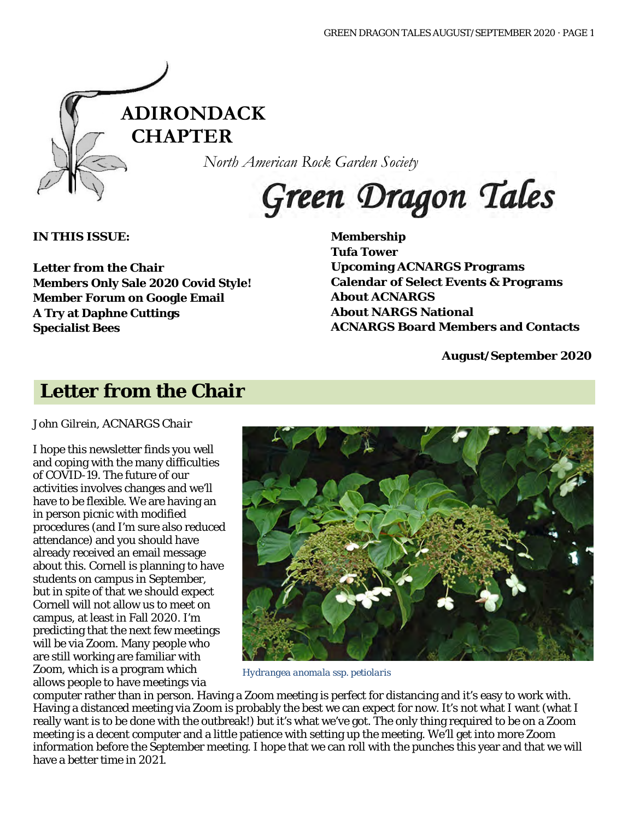

*North American Rock Garden Society*

# Green Dragon Tales

**IN THIS ISSUE:**

**Letter from the Chair Members Only Sale 2020 Covid Style! Member Forum on Google Email A Try at Daphne Cuttings Specialist Bees**

**Membership Tufa Tower Upcoming ACNARGS Programs Calendar of Select Events & Programs About ACNARGS About NARGS National ACNARGS Board Members and Contacts**

**August/September 2020**

### **Letter from the Chair**

*John Gilrein, ACNARGS Chair*

I hope this newsletter finds you well and coping with the many difficulties of COVID-19. The future of our activities involves changes and we'll have to be flexible. We are having an in person picnic with modified procedures (and I'm sure also reduced attendance) and you should have already received an email message about this. Cornell is planning to have students on campus in September, but in spite of that we should expect Cornell will not allow us to meet on campus, at least in Fall 2020. I'm predicting that the next few meetings will be via Zoom. Many people who are still working are familiar with Zoom, which is a program which allows people to have meetings via



*Hydrangea anomala* ssp*. petiolaris*

computer rather than in person. Having a Zoom meeting is perfect for distancing and it's easy to work with. Having a distanced meeting via Zoom is probably the best we can expect for now. It's not what I want (what I really want is to be done with the outbreak!) but it's what we've got. The only thing required to be on a Zoom meeting is a decent computer and a little patience with setting up the meeting. We'll get into more Zoom information before the September meeting. I hope that we can roll with the punches this year and that we will have a better time in 2021.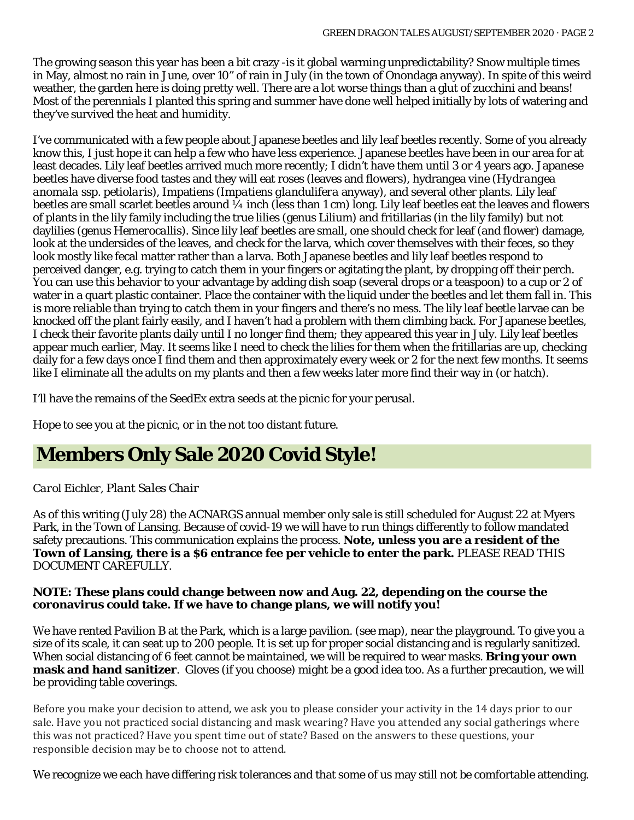The growing season this year has been a bit crazy -is it global warming unpredictability? Snow multiple times in May, almost no rain in June, over 10" of rain in July (in the town of Onondaga anyway). In spite of this weird weather, the garden here is doing pretty well. There are a lot worse things than a glut of zucchini and beans! Most of the perennials I planted this spring and summer have done well helped initially by lots of watering and they've survived the heat and humidity.

I've communicated with a few people about Japanese beetles and lily leaf beetles recently. Some of you already know this, I just hope it can help a few who have less experience. Japanese beetles have been in our area for at least decades. Lily leaf beetles arrived much more recently; I didn't have them until 3 or 4 years ago. Japanese beetles have diverse food tastes and they will eat roses (leaves and flowers), hydrangea vine (*Hydrangea anomala* ssp*. petiolaris*), Impatiens (*Impatiens glandulifera* anyway), and several other plants. Lily leaf beetles are small scarlet beetles around  $\frac{1}{4}$  inch (less than 1 cm) long. Lily leaf beetles eat the leaves and flowers of plants in the lily family including the true lilies (genus *Lilium*) and fritillarias (in the lily family) but not daylilies (genus *Hemerocallis*). Since lily leaf beetles are small, one should check for leaf (and flower) damage, look at the undersides of the leaves, and check for the larva, which cover themselves with their feces, so they look mostly like fecal matter rather than a larva. Both Japanese beetles and lily leaf beetles respond to perceived danger, e.g. trying to catch them in your fingers or agitating the plant, by dropping off their perch. You can use this behavior to your advantage by adding dish soap (several drops or a teaspoon) to a cup or 2 of water in a quart plastic container. Place the container with the liquid under the beetles and let them fall in. This is more reliable than trying to catch them in your fingers and there's no mess. The lily leaf beetle larvae can be knocked off the plant fairly easily, and I haven't had a problem with them climbing back. For Japanese beetles, I check their favorite plants daily until I no longer find them; they appeared this year in July. Lily leaf beetles appear much earlier, May. It seems like I need to check the lilies for them when the fritillarias are up, checking daily for a few days once I find them and then approximately every week or 2 for the next few months. It seems like I eliminate all the adults on my plants and then a few weeks later more find their way in (or hatch).

I'll have the remains of the SeedEx extra seeds at the picnic for your perusal.

Hope to see you at the picnic, or in the not too distant future.

# **Members Only Sale 2020 Covid Style!**

#### *Carol Eichler, Plant Sales Chair*

As of this writing (July 28) the ACNARGS annual member only sale is still scheduled for August 22 at Myers Park, in the Town of Lansing. Because of covid-19 we will have to run things differently to follow mandated safety precautions. This communication explains the process. **Note, unless you are a resident of the Town of Lansing, there is a \$6 entrance fee per vehicle to enter the park.** PLEASE READ THIS DOCUMENT CAREFULLY.

#### **NOTE: These plans could change between now and Aug. 22, depending on the course the coronavirus could take. If we have to change plans, we will notify you!**

We have rented Pavilion B at the Park, which is a large pavilion. (see map), near the playground. To give you a size of its scale, it can seat up to 200 people. It is set up for proper social distancing and is regularly sanitized. When social distancing of 6 feet cannot be maintained, we will be required to wear masks. **Bring your own mask and hand sanitizer**. Gloves (if you choose) might be a good idea too. As a further precaution, we will be providing table coverings.

Before you make your decision to attend, we ask you to please consider your activity in the 14 days prior to our sale. Have you not practiced social distancing and mask wearing? Have you attended any social gatherings where this was not practiced? Have you spent time out of state? Based on the answers to these questions, your responsible decision may be to choose not to attend.

We recognize we each have differing risk tolerances and that some of us may still not be comfortable attending.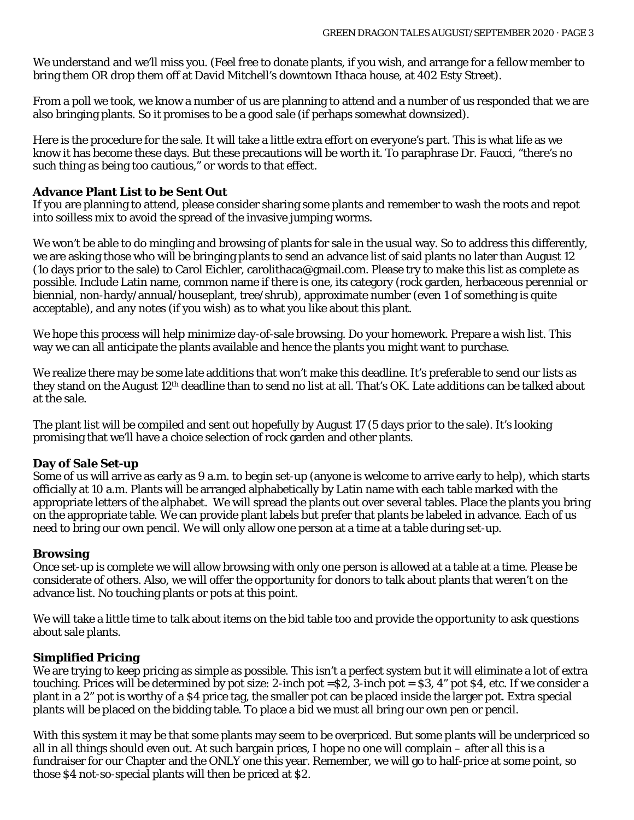We understand and we'll miss you. (Feel free to donate plants, if you wish, and arrange for a fellow member to bring them OR drop them off at David Mitchell's downtown Ithaca house, at 402 Esty Street).

From a poll we took, we know a number of us are planning to attend and a number of us responded that we are also bringing plants. So it promises to be a good sale (if perhaps somewhat downsized).

Here is the procedure for the sale. It will take a little extra effort on everyone's part. This is what life as we know it has become these days. But these precautions will be worth it. To paraphrase Dr. Faucci, "there's no such thing as being too cautious," or words to that effect.

#### **Advance Plant List to be Sent Out**

If you are planning to attend, please consider sharing some plants and remember to wash the roots and repot into soilless mix to avoid the spread of the invasive jumping worms.

We won't be able to do mingling and browsing of plants for sale in the usual way. So to address this differently, we are asking those who will be bringing plants to send an advance list of said plants no later than August 12 (1o days prior to the sale) to Carol Eichler, carolithaca@gmail.com. Please try to make this list as complete as possible. Include Latin name, common name if there is one, its category (rock garden, herbaceous perennial or biennial, non-hardy/annual/houseplant, tree/shrub), approximate number (even 1 of something is quite acceptable), and any notes (if you wish) as to what you like about this plant.

We hope this process will help minimize day-of-sale browsing. Do your homework. Prepare a wish list. This way we can all anticipate the plants available and hence the plants you might want to purchase.

We realize there may be some late additions that won't make this deadline. It's preferable to send our lists as they stand on the August 12th deadline than to send no list at all. That's OK. Late additions can be talked about at the sale.

The plant list will be compiled and sent out hopefully by August 17 (5 days prior to the sale). It's looking promising that we'll have a choice selection of rock garden and other plants.

#### **Day of Sale Set-up**

Some of us will arrive as early as 9 a.m. to begin set-up (anyone is welcome to arrive early to help), which starts officially at 10 a.m. Plants will be arranged alphabetically by Latin name with each table marked with the appropriate letters of the alphabet. We will spread the plants out over several tables. Place the plants you bring on the appropriate table. We can provide plant labels but prefer that plants be labeled in advance. Each of us need to bring our own pencil. We will only allow one person at a time at a table during set-up.

#### **Browsing**

Once set-up is complete we will allow browsing with only one person is allowed at a table at a time. Please be considerate of others. Also, we will offer the opportunity for donors to talk about plants that weren't on the advance list. No touching plants or pots at this point.

We will take a little time to talk about items on the bid table too and provide the opportunity to ask questions about sale plants.

#### **Simplified Pricing**

We are trying to keep pricing as simple as possible. This isn't a perfect system but it will eliminate a lot of extra touching. Prices will be determined by pot size: 2-inch pot =\$2, 3-inch pot = \$3, 4" pot \$4, etc. If we consider a plant in a 2" pot is worthy of a \$4 price tag, the smaller pot can be placed inside the larger pot. Extra special plants will be placed on the bidding table. To place a bid we must all bring our own pen or pencil.

With this system it may be that some plants may seem to be overpriced. But some plants will be underpriced so all in all things should even out. At such bargain prices, I hope no one will complain – after all this is a fundraiser for our Chapter and the ONLY one this year. Remember, we will go to half-price at some point, so those \$4 not-so-special plants will then be priced at \$2.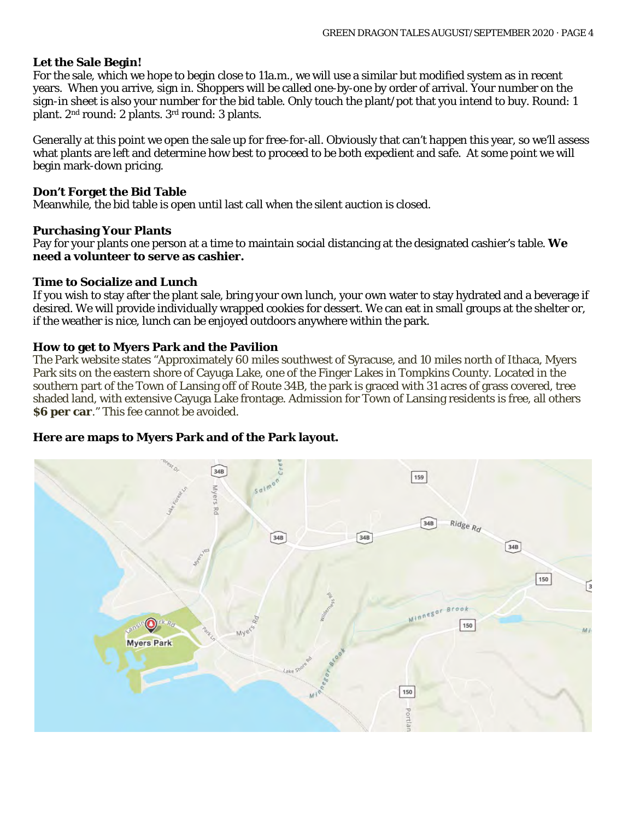#### **Let the Sale Begin!**

For the sale, which we hope to begin close to 11a.m., we will use a similar but modified system as in recent years. When you arrive, sign in. Shoppers will be called one-by-one by order of arrival. Your number on the sign-in sheet is also your number for the bid table. Only touch the plant/pot that you intend to buy. Round: 1 plant. 2nd round: 2 plants. 3rd round: 3 plants.

Generally at this point we open the sale up for free-for-all. Obviously that can't happen this year, so we'll assess what plants are left and determine how best to proceed to be both expedient and safe. At some point we will begin mark-down pricing.

#### **Don't Forget the Bid Table**

Meanwhile, the bid table is open until last call when the silent auction is closed.

#### **Purchasing Your Plants**

Pay for your plants one person at a time to maintain social distancing at the designated cashier's table. **We need a volunteer to serve as cashier.**

#### **Time to Socialize and Lunch**

If you wish to stay after the plant sale, bring your own lunch, your own water to stay hydrated and a beverage if desired. We will provide individually wrapped cookies for dessert. We can eat in small groups at the shelter or, if the weather is nice, lunch can be enjoyed outdoors anywhere within the park.

#### **How to get to Myers Park and the Pavilion**

The Park website states "Approximately 60 miles southwest of Syracuse, and 10 miles north of Ithaca, Myers Park sits on the eastern shore of Cayuga Lake, one of the Finger Lakes in Tompkins County. Located in the southern part of the Town of Lansing off of Route 34B, the park is graced with 31 acres of grass covered, tree shaded land, with extensive Cayuga Lake frontage. Admission for Town of Lansing residents is free, all others **\$6 per car.**" This fee cannot be avoided.

#### **Here are maps to Myers Park and of the Park layout.**

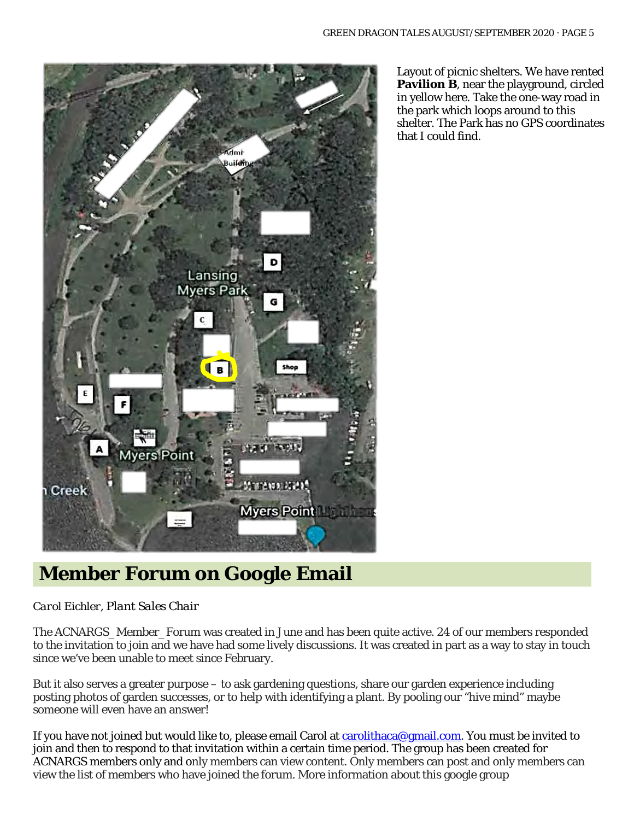

Layout of picnic shelters. We have rented **Pavilion B**, near the playground, circled in yellow here. Take the one-way road in the park which loops around to this shelter. The Park has no GPS coordinates that I could find.

### **Member Forum on Google Email**

#### *Carol Eichler, Plant Sales Chair*

The ACNARGS\_Member\_Forum was created in June and has been quite active. 24 of our members responded to the invitation to join and we have had some lively discussions. It was created in part as a way to stay in touch since we've been unable to meet since February.

But it also serves a greater purpose – to ask gardening questions, share our garden experience including posting photos of garden successes, or to help with identifying a plant. By pooling our "hive mind" maybe someone will even have an answer!

If you have not joined but would like to, please email Carol at [carolithaca@gmail.com.](mailto:carolithaca@gmail.com) You must be invited to join and then to respond to that invitation within a certain time period. The group has been created for ACNARGS members only and only members can view content. Only members can post and only members can view the list of members who have joined the forum. More information about this google group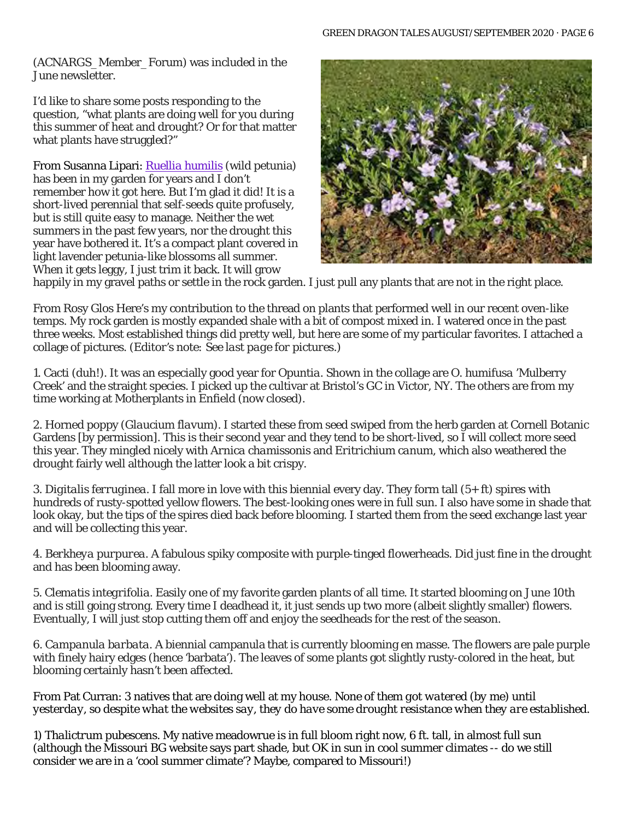(ACNARGS\_Member\_Forum) was included in the June newsletter.

I'd like to share some posts responding to the question, "what plants are doing well for you during this summer of heat and drought? Or for that matter what plants have struggled?"

From Susanna Lipari: *Ruellia [humilis](https://www.prairiemoon.com/ruellia-humilis-wild-petunia-prairie-moon-nursery.html)* (wild petunia) has been in my garden for years and I don't remember how it got here. But I'm glad it did! It is a short-lived perennial that self-seeds quite profusely, but is still quite easy to manage. Neither the wet summers in the past few years, nor the drought this year have bothered it. It's a compact plant covered in light lavender petunia-like blossoms all summer. When it gets leggy, I just trim it back. It will grow



happily in my gravel paths or settle in the rock garden. I just pull any plants that are not in the right place.

From Rosy Glos Here's my contribution to the thread on plants that performed well in our recent oven-like temps. My rock garden is mostly expanded shale with a bit of compost mixed in. I watered once in the past three weeks. Most established things did pretty well, but here are some of my particular favorites. I attached a collage of pictures. (*Editor's note: See last page for pictures*.)

1. Cacti (duh!). It was an especially good year for *Opuntia.* Shown in the collage are *O. humifusa* 'Mulberry Creek' and the straight species. I picked up the cultivar at Bristol's GC in Victor, NY. The others are from my time working at Motherplants in Enfield (now closed).

2. Horned poppy (*Glaucium flavum*). I started these from seed swiped from the herb garden at Cornell Botanic Gardens [by permission]. This is their second year and they tend to be short-lived, so I will collect more seed this year. They mingled nicely with *Arnica chamissonis* and *Eritrichium canum,* which also weathered the drought fairly well although the latter look a bit crispy.

3. *Digitalis ferruginea.* I fall more in love with this biennial every day. They form tall (5+ ft) spires with hundreds of rusty-spotted yellow flowers. The best-looking ones were in full sun. I also have some in shade that look okay, but the tips of the spires died back before blooming. I started them from the seed exchange last year and will be collecting this year.

4. *Berkheya purpurea.* A fabulous spiky composite with purple-tinged flowerheads. Did just fine in the drought and has been blooming away.

5. *Clematis integrifolia.* Easily one of my favorite garden plants of all time. It started blooming on June 10th and is still going strong. Every time I deadhead it, it just sends up two more (albeit slightly smaller) flowers. Eventually, I will just stop cutting them off and enjoy the seedheads for the rest of the season.

6. *Campanula barbata.* A biennial campanula that is currently blooming en masse. The flowers are pale purple with finely hairy edges (hence 'barbata'). The leaves of some plants got slightly rusty-colored in the heat, but blooming certainly hasn't been affected.

From Pat Curran: 3 natives that are doing well at my house. *None of them got watered (by me) until yesterday, so despite what the websites say, they do have some drought resistance when they are established.*

1) *Thalictrum pubescens*. My native meadowrue is in full bloom right now, 6 ft. tall, in almost full sun (although the Missouri BG website says part shade, but OK in sun in cool summer climates -- do we still consider we are in a 'cool summer climate'? Maybe, compared to Missouri!)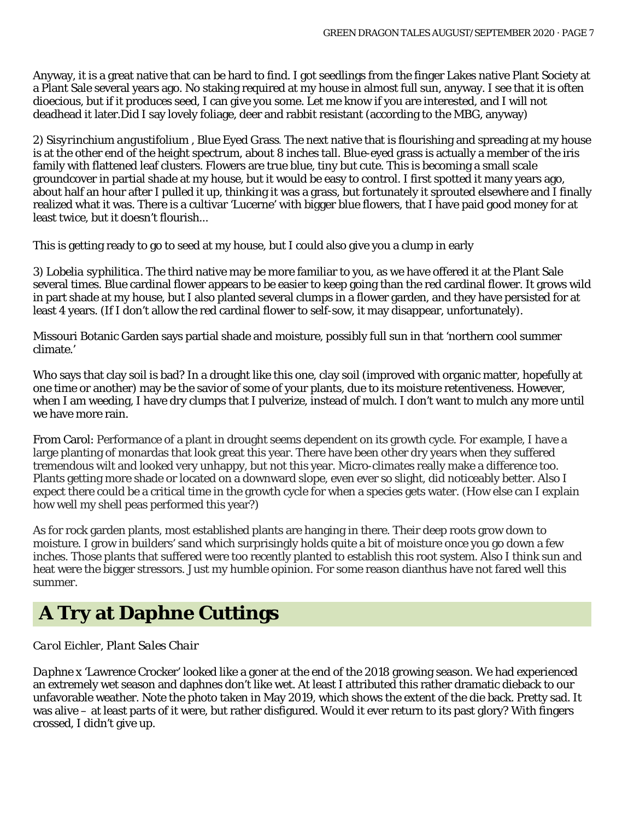Anyway, it is a great native that can be hard to find. I got seedlings from the finger Lakes native Plant Society at a Plant Sale several years ago. No staking required at my house in almost full sun, anyway. I see that it is often dioecious, but if it produces seed, I can give you some. Let me know if you are interested, and I will not deadhead it later.Did I say lovely foliage, deer and rabbit resistant (according to the MBG, anyway)

2) *Sisyrinchium angustifolium* , Blue Eyed Grass. The next native that is flourishing and spreading at my house is at the other end of the height spectrum, about 8 inches tall. Blue-eyed grass is actually a member of the iris family with flattened leaf clusters. Flowers are true blue, tiny but cute. This is becoming a small scale groundcover in partial shade at my house, but it would be easy to control. I first spotted it many years ago, about half an hour after I pulled it up, thinking it was a grass, but fortunately it sprouted elsewhere and I finally realized what it was. There is a cultivar 'Lucerne' with bigger blue flowers, that I have paid good money for at least twice, but it doesn't flourish...

This is getting ready to go to seed at my house, but I could also give you a clump in early

3) *Lobelia syphilitica.* The third native may be more familiar to you, as we have offered it at the Plant Sale several times. Blue cardinal flower appears to be easier to keep going than the red cardinal flower. It grows wild in part shade at my house, but I also planted several clumps in a flower garden, and they have persisted for at least 4 years. (If I don't allow the red cardinal flower to self-sow, it may disappear, unfortunately).

Missouri Botanic Garden says partial shade and moisture, possibly full sun in that 'northern cool summer climate.'

Who says that clay soil is bad? In a drought like this one, clay soil (improved with organic matter, hopefully at one time or another) may be the savior of some of your plants, due to its moisture retentiveness. However, when I am weeding, I have dry clumps that I pulverize, instead of mulch. I don't want to mulch any more until we have more rain.

From Carol: Performance of a plant in drought seems dependent on its growth cycle. For example, I have a large planting of monardas that look great this year. There have been other dry years when they suffered tremendous wilt and looked very unhappy, but not this year. Micro-climates really make a difference too. Plants getting more shade or located on a downward slope, even ever so slight, did noticeably better. Also I expect there could be a critical time in the growth cycle for when a species gets water. (How else can I explain how well my shell peas performed this year?)

As for rock garden plants, most established plants are hanging in there. Their deep roots grow down to moisture. I grow in builders' sand which surprisingly holds quite a bit of moisture once you go down a few inches. Those plants that suffered were too recently planted to establish this root system. Also I think sun and heat were the bigger stressors. Just my humble opinion. For some reason dianthus have not fared well this summer.

## **A Try at Daphne Cuttings**

#### *Carol Eichler, Plant Sales Chair*

*Daphne* x 'Lawrence Crocker' looked like a goner at the end of the 2018 growing season. We had experienced an extremely wet season and daphnes don't like wet. At least I attributed this rather dramatic dieback to our unfavorable weather. Note the photo taken in May 2019, which shows the extent of the die back. Pretty sad. It was alive – at least parts of it were, but rather disfigured. Would it ever return to its past glory? With fingers crossed, I didn't give up.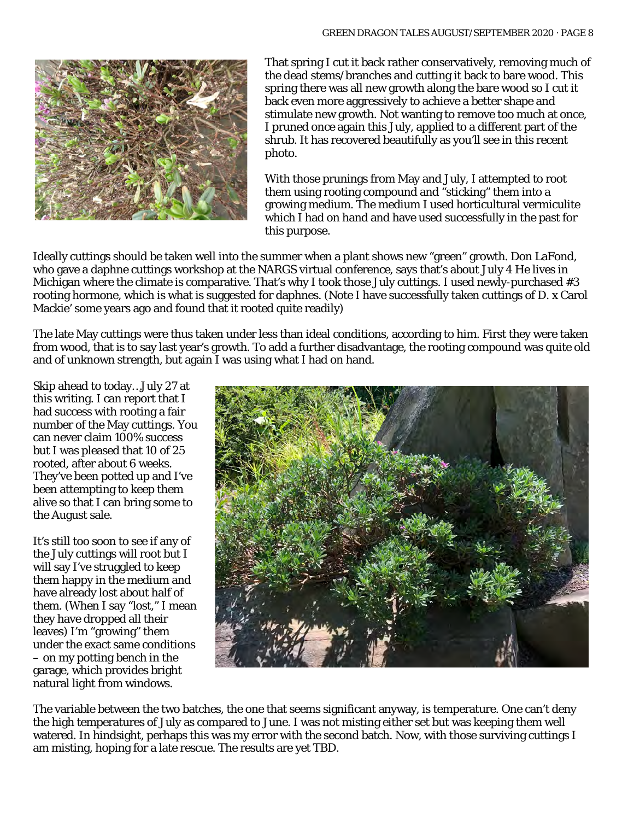

That spring I cut it back rather conservatively, removing much of the dead stems/branches and cutting it back to bare wood. This spring there was all new growth along the bare wood so I cut it back even more aggressively to achieve a better shape and stimulate new growth. Not wanting to remove too much at once, I pruned once again this July, applied to a different part of the shrub. It has recovered beautifully as you'll see in this recent photo.

With those prunings from May and July, I attempted to root them using rooting compound and "sticking" them into a growing medium. The medium I used horticultural vermiculite which I had on hand and have used successfully in the past for this purpose.

Ideally cuttings should be taken well into the summer when a plant shows new "green" growth. Don LaFond, who gave a daphne cuttings workshop at the NARGS virtual conference, says that's about July 4 He lives in Michigan where the climate is comparative. That's why I took those July cuttings. I used newly-purchased #3 rooting hormone, which is what is suggested for daphnes. (Note I have successfully taken cuttings of *D.* x Carol Mackie' some years ago and found that it rooted quite readily)

The late May cuttings were thus taken under less than ideal conditions, according to him. First they were taken from wood, that is to say last year's growth. To add a further disadvantage, the rooting compound was quite old and of unknown strength, but again I was using what I had on hand.

Skip ahead to today…July 27 at this writing. I can report that I had success with rooting a fair number of the May cuttings. You can never claim 100% success but I was pleased that 10 of 25 rooted, after about 6 weeks. They've been potted up and I've been attempting to keep them alive so that I can bring some to the August sale.

It's still too soon to see if any of the July cuttings will root but I will say I've struggled to keep them happy in the medium and have already lost about half of them. (When I say "lost," I mean they have dropped all their leaves) I'm "growing" them under the exact same conditions – on my potting bench in the garage, which provides bright natural light from windows.



The variable between the two batches, the one that seems significant anyway, is temperature. One can't deny the high temperatures of July as compared to June. I was not misting either set but was keeping them well watered. In hindsight, perhaps this was my error with the second batch. Now, with those surviving cuttings I am misting, hoping for a late rescue. The results are yet TBD.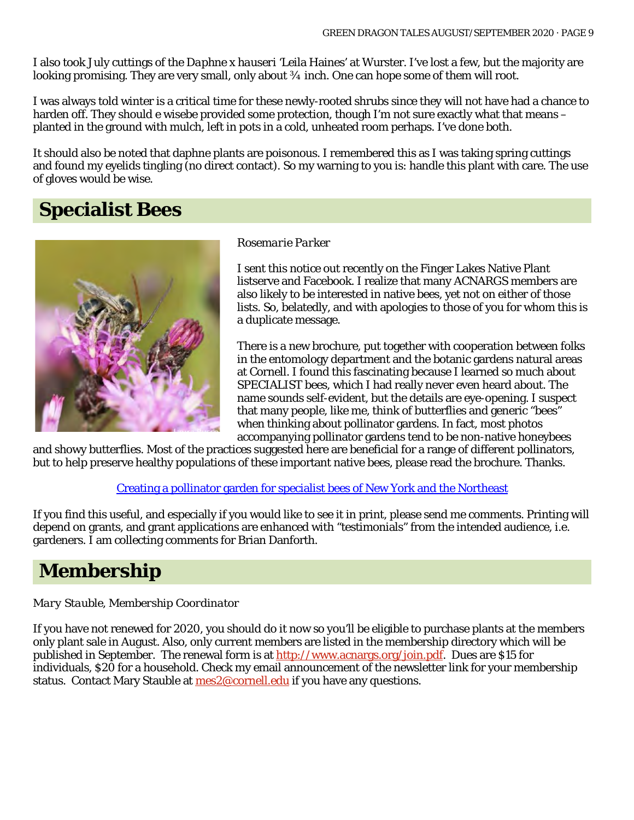I also took July cuttings of the *Daphne* x *hauseri* 'Leila Haines' at Wurster. I've lost a few, but the majority are looking promising. They are very small, only about  $\frac{3}{4}$  inch. One can hope some of them will root.

I was always told winter is a critical time for these newly-rooted shrubs since they will not have had a chance to harden off. They should e wisebe provided some protection, though I'm not sure exactly what that means – planted in the ground with mulch, left in pots in a cold, unheated room perhaps. I've done both.

It should also be noted that daphne plants are poisonous. I remembered this as I was taking spring cuttings and found my eyelids tingling (no direct contact). So my warning to you is: handle this plant with care. The use of gloves would be wise.

# **Specialist Bees**



#### *Rosemarie Parker*

I sent this notice out recently on the Finger Lakes Native Plant listserve and Facebook. I realize that many ACNARGS members are also likely to be interested in native bees, yet not on either of those lists. So, belatedly, and with apologies to those of you for whom this is a duplicate message.

There is a new brochure, put together with cooperation between folks in the entomology department and the botanic gardens natural areas at Cornell. I found this fascinating because I learned so much about SPECIALIST bees, which I had really never even heard about. The name sounds self-evident, but the details are eye-opening. I suspect that many people, like me, think of butterflies and generic "bees" when thinking about pollinator gardens. In fact, most photos accompanying pollinator gardens tend to be non-native honeybees

and showy butterflies. Most of the practices suggested here are beneficial for a range of different pollinators, but to help preserve healthy populations of these important native bees, please read the brochure. Thanks.

[Creating a pollinator garden for specialist bees of New York and the Northeast](https://dl-mail.ymail.com/ws/download/mailboxes/@.id==VjN-AC70EIYJB8EvgX8-kHfGKzZFRPVXRiKJ0V-v3mKRBegPVV-_7jL72ksviuab4Frq8XgFjnUiTrN4wNx8-Yh0OMqrbHbfo5KPritJKPChzq8/messages/@.id==AD2_wic178x1XzbYvAf-4N4FpfQ/content/parts/@.id==2/raw?appid=YMailNorrin&ymreqid=7768e454-d9a2-28a9-1cb8-2f001d01fe00&token=VTAw-wylH-PPnF7Qk8VP1Lqin8ZkvzlJHf1KUhBZYoAHG892779p9uHPuZRywMtyQI6IkyZHAWZU7hNMkFNzTdOeyB4LXS_lpYmottA9Nsjct1TeizMTCocMmZ3otB_V&error=https%3A%2F%2Fmail.yahoo.com%2Fd%2Fiframemsg%3Fid%3Ddownload-7959260363)

If you find this useful, and especially if you would like to see it in print, please send me comments. Printing will depend on grants, and grant applications are enhanced with "testimonials" from the intended audience, i.e. gardeners. I am collecting comments for Brian Danforth.

### **Membership**

#### *Mary Stauble, Membership Coordinator*

If you have not renewed for 2020, you should do it now so you'll be eligible to purchase plants at the members only plant sale in August. Also, only current members are listed in the membership directory which will be published in September. The renewal form is a[t http://www.acnargs.org/join.pdf.](http://www.acnargs.org/join.pdf) Dues are \$15 for individuals, \$20 for a household. Check my email announcement of the newsletter link for your membership status. Contact Mary Stauble at  $\text{mes2@correll.edu}$  if you have any questions.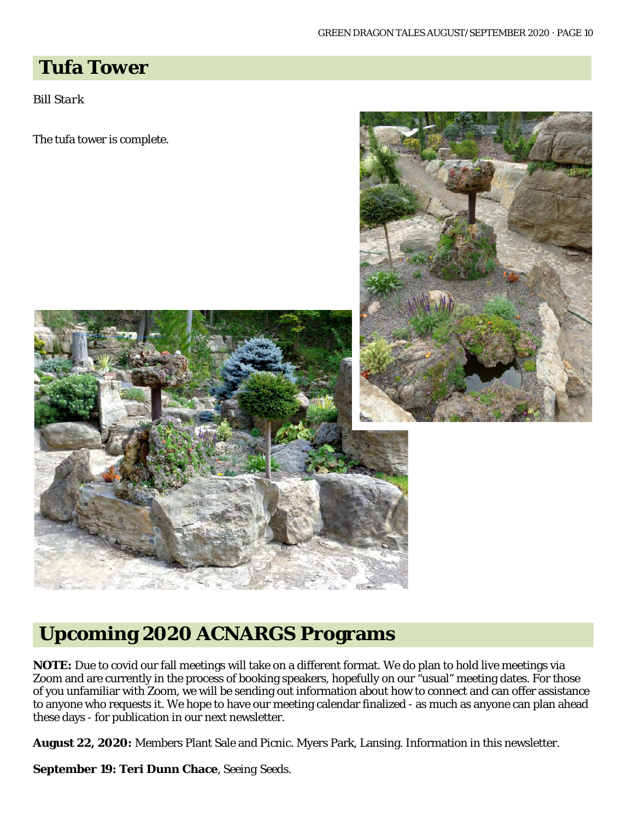### **Tufa Tower**

*Bill Stark*

The tufa tower is complete.





**NOTE:** Due to covid our fall meetings will take on a different format. We do plan to hold live meetings via Zoom and are currently in the process of booking speakers, hopefully on our "usual" meeting dates. For those of you unfamiliar with Zoom, we will be sending out information about how to connect and can offer assistance to anyone who requests it. We hope to have our meeting calendar finalized - as much as anyone can plan ahead these days - for publication in our next newsletter.

**August 22, 2020:** Members Plant Sale and Picnic. Myers Park, Lansing. Information in this newsletter.

**September 19: Teri Dunn Chace**, *Seeing Seeds*.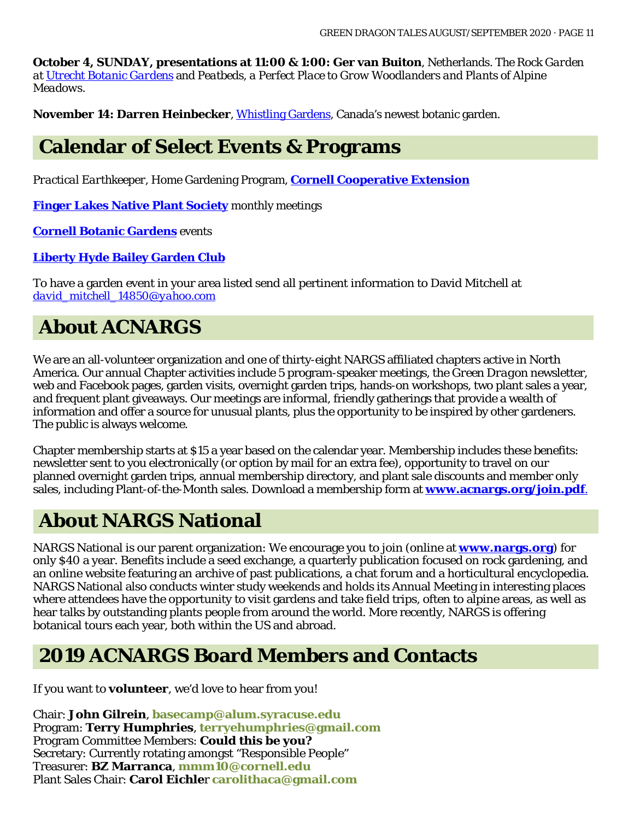**October 4, SUNDAY, presentations at 11:00 & 1:00: Ger van Buiton**, Netherlands. *The Rock Garden at [Utrecht Botanic Gardens](https://www.uu.nl/en/utrecht-botanic-gardens)* and *Peatbeds, a Perfect Place to Grow Woodlanders and Plants of Alpine Meadows.*

**November 14: Darren Heinbecker**, [Whistling Gardens,](https://www.whistlinggardens.ca/) Canada's newest botanic garden.

### **Calendar of Select Events & Programs**

*Practical Earthkeeper*, Home Gardening Program, **[Cornell Cooperative Extension](http://ccetompkins.org/gardening/practical-earthkeeper)**

**[Finger Lakes Native Plant Society](http://ccetompkins.org/gardening/practical-earthkeeper)** monthly meetings

**[Cornell Botanic Gardens](https://cornellbotanicgardens.org/explore/events/)** events

#### **[Liberty Hyde Bailey Garden Club](http://www.hort.cornell.edu/LHBGC/)**

To have a garden event in your area listed send all pertinent information to David Mitchell at *[david\\_mitchell\\_14850@yahoo.com](mailto:david_mitchell_14850@yahoo.com)*

# **About ACNARGS**

We are an all-volunteer organization and one of thirty-eight NARGS affiliated chapters active in North America. Our annual Chapter activities include 5 program-speaker meetings, the *Green Dragon* newsletter, web and Facebook pages, garden visits, overnight garden trips, hands-on workshops, two plant sales a year, and frequent plant giveaways. Our meetings are informal, friendly gatherings that provide a wealth of information and offer a source for unusual plants, plus the opportunity to be inspired by other gardeners. The public is always welcome.

Chapter membership starts at \$15 a year based on the calendar year. Membership includes these benefits: newsletter sent to you electronically (or option by mail for an extra fee), opportunity to travel on our planned overnight garden trips, annual membership directory, and plant sale discounts and member only sales, including Plant-of-the-Month sales. Download a membership form at **[www.acnargs.org/join.pdf](http://www.acnargs.org/join.pdf.)**.

# **About NARGS National**

NARGS National is our parent organization: We encourage you to join (online at **www.nargs.org**) for only \$40 a year. Benefits include a seed exchange, a quarterly publication focused on rock gardening, and an online website featuring an archive of past publications, a chat forum and a horticultural encyclopedia. NARGS National also conducts winter study weekends and holds its Annual Meeting in interesting places where attendees have the opportunity to visit gardens and take field trips, often to alpine areas, as well as hear talks by outstanding plants people from around the world. More recently, NARGS is offering botanical tours each year, both within the US and abroad.

# **2019 ACNARGS Board Members and Contacts**

If you want to **volunteer**, we'd love to hear from you!

Chair: **John Gilrein**, **[basecamp@alum.syracuse.edu](mailto:basecamp@alum.syracuse.edu)**  Program: **Terry Humphries**, **[terryehumphries@gmail.com](mailto:terryehumphries@gmail.com)**  Program Committee Members: **Could this be you?** Secretary: Currently rotating amongst "Responsible People" Treasurer: **BZ Marranca**, **[mmm10@cornell.edu](mailto:mmm10@cornell.edu)** Plant Sales Chair: **Carol Eichle**r **[carolithaca@gmail.com](mailto:carolithaca@gmail.com)**